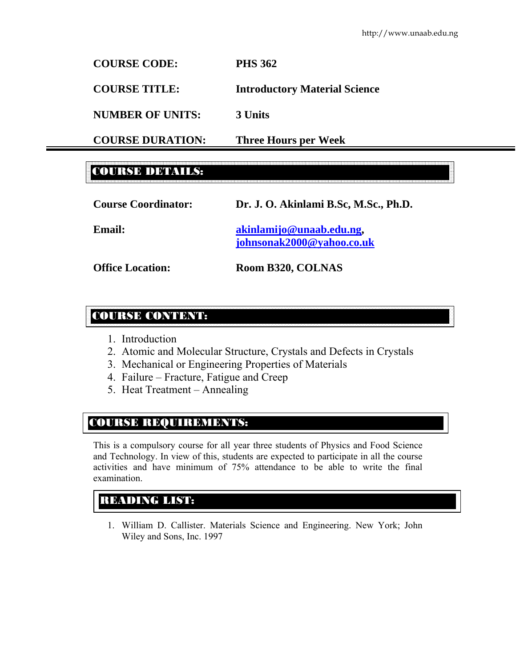**COURSE CODE: PHS 362** 

**COURSE TITLE: Introductory Material Science** 

**NUMBER OF UNITS: 3 Units** 

**COURSE DURATION: Three Hours per Week** 

# COURSE DETAILS:

| <b>Course Coordinator:</b> | Dr. J. O. Akinlami B.Sc, M.Sc., Ph.D. |
|----------------------------|---------------------------------------|
| <b>Email:</b>              | akinlamijo@unaab.edu.ng,              |

**johnsonak2000@yahoo.co.uk** 

**Office Location: Room B320, COLNAS** 

# COURSE CONTENT:

- 1. Introduction
- 2. Atomic and Molecular Structure, Crystals and Defects in Crystals
- 3. Mechanical or Engineering Properties of Materials
- 4. Failure Fracture, Fatigue and Creep
- 5. Heat Treatment Annealing

# COURSE REQUIREMENTS:

This is a compulsory course for all year three students of Physics and Food Science and Technology. In view of this, students are expected to participate in all the course activities and have minimum of 75% attendance to be able to write the final examination.

# READING LIST:

1. William D. Callister. Materials Science and Engineering. New York; John Wiley and Sons, Inc. 1997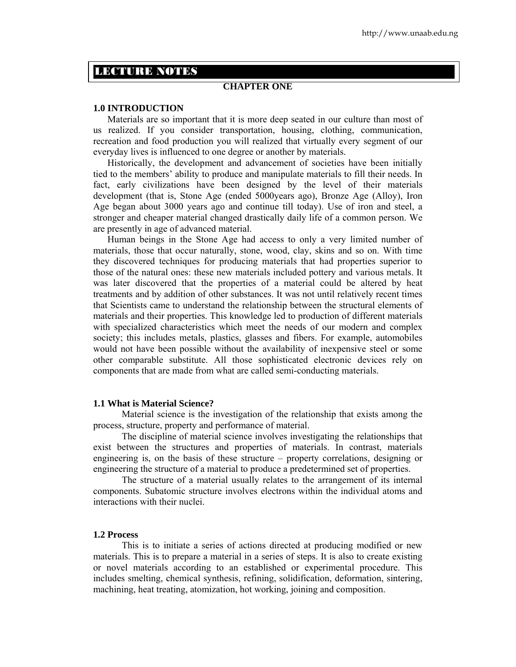# LECTURE NOTES

# **CHAPTER ONE**

# **1.0 INTRODUCTION**

Materials are so important that it is more deep seated in our culture than most of us realized. If you consider transportation, housing, clothing, communication, recreation and food production you will realized that virtually every segment of our everyday lives is influenced to one degree or another by materials.

Historically, the development and advancement of societies have been initially tied to the members' ability to produce and manipulate materials to fill their needs. In fact, early civilizations have been designed by the level of their materials development (that is, Stone Age (ended 5000years ago), Bronze Age (Alloy), Iron Age began about 3000 years ago and continue till today). Use of iron and steel, a stronger and cheaper material changed drastically daily life of a common person. We are presently in age of advanced material.

 Human beings in the Stone Age had access to only a very limited number of materials, those that occur naturally, stone, wood, clay, skins and so on. With time they discovered techniques for producing materials that had properties superior to those of the natural ones: these new materials included pottery and various metals. It was later discovered that the properties of a material could be altered by heat treatments and by addition of other substances. It was not until relatively recent times that Scientists came to understand the relationship between the structural elements of materials and their properties. This knowledge led to production of different materials with specialized characteristics which meet the needs of our modern and complex society; this includes metals, plastics, glasses and fibers. For example, automobiles would not have been possible without the availability of inexpensive steel or some other comparable substitute. All those sophisticated electronic devices rely on components that are made from what are called semi-conducting materials.

# **1.1 What is Material Science?**

Material science is the investigation of the relationship that exists among the process, structure, property and performance of material.

 The discipline of material science involves investigating the relationships that exist between the structures and properties of materials. In contrast, materials engineering is, on the basis of these structure – property correlations, designing or engineering the structure of a material to produce a predetermined set of properties.

 The structure of a material usually relates to the arrangement of its internal components. Subatomic structure involves electrons within the individual atoms and interactions with their nuclei.

#### **1.2 Process**

 This is to initiate a series of actions directed at producing modified or new materials. This is to prepare a material in a series of steps. It is also to create existing or novel materials according to an established or experimental procedure. This includes smelting, chemical synthesis, refining, solidification, deformation, sintering, machining, heat treating, atomization, hot working, joining and composition.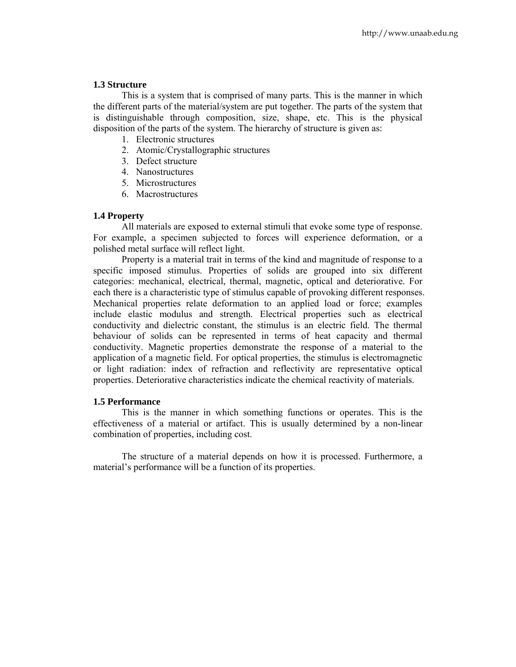# **1.3 Structure**

 This is a system that is comprised of many parts. This is the manner in which the different parts of the material/system are put together. The parts of the system that is distinguishable through composition, size, shape, etc. This is the physical disposition of the parts of the system. The hierarchy of structure is given as:

- 1. Electronic structures
- 2. Atomic/Crystallographic structures
- 3. Defect structure
- 4. Nanostructures
- 5. Microstructures
- 6. Macrostructures

# **1.4 Property**

 All materials are exposed to external stimuli that evoke some type of response. For example, a specimen subjected to forces will experience deformation, or a polished metal surface will reflect light.

 Property is a material trait in terms of the kind and magnitude of response to a specific imposed stimulus. Properties of solids are grouped into six different categories: mechanical, electrical, thermal, magnetic, optical and deteriorative. For each there is a characteristic type of stimulus capable of provoking different responses. Mechanical properties relate deformation to an applied load or force; examples include elastic modulus and strength. Electrical properties such as electrical conductivity and dielectric constant, the stimulus is an electric field. The thermal behaviour of solids can be represented in terms of heat capacity and thermal conductivity. Magnetic properties demonstrate the response of a material to the application of a magnetic field. For optical properties, the stimulus is electromagnetic or light radiation: index of refraction and reflectivity are representative optical properties. Deteriorative characteristics indicate the chemical reactivity of materials.

# **1.5 Performance**

 This is the manner in which something functions or operates. This is the effectiveness of a material or artifact. This is usually determined by a non-linear combination of properties, including cost.

 The structure of a material depends on how it is processed. Furthermore, a material's performance will be a function of its properties.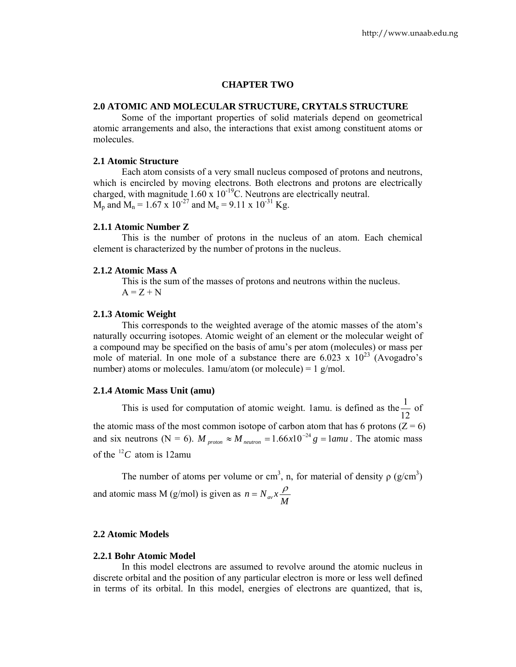# **CHAPTER TWO**

# **2.0 ATOMIC AND MOLECULAR STRUCTURE, CRYTALS STRUCTURE**

Some of the important properties of solid materials depend on geometrical atomic arrangements and also, the interactions that exist among constituent atoms or molecules.

## **2.1 Atomic Structure**

 Each atom consists of a very small nucleus composed of protons and neutrons, which is encircled by moving electrons. Both electrons and protons are electrically charged, with magnitude  $1.60 \times 10^{-19}$ C. Neutrons are electrically neutral.  $M_p$  and  $M_n = 1.67$  x  $10^{-27}$  and  $M_e = 9.11$  x  $10^{-31}$  Kg.

# **2.1.1 Atomic Number Z**

This is the number of protons in the nucleus of an atom. Each chemical element is characterized by the number of protons in the nucleus.

#### **2.1.2 Atomic Mass A**

This is the sum of the masses of protons and neutrons within the nucleus.  $A = Z + N$ 

#### **2.1.3 Atomic Weight**

 This corresponds to the weighted average of the atomic masses of the atom's naturally occurring isotopes. Atomic weight of an element or the molecular weight of a compound may be specified on the basis of amu's per atom (molecules) or mass per mole of material. In one mole of a substance there are  $6.023 \times 10^{23}$  (Avogadro's number) atoms or molecules.  $1$ amu/atom (or molecule) =  $1$  g/mol.

#### **2.1.4 Atomic Mass Unit (amu)**

This is used for computation of atomic weight. 1amu. is defined as the  $\frac{1}{12}$  of the atomic mass of the most common isotope of carbon atom that has 6 protons ( $Z = 6$ ) and six neutrons (N = 6).  $M_{proton} \approx M_{neutron} = 1.66 \times 10^{-24} g = 1$  *amu*. The atomic mass of the  $^{12}C$  atom is 12amu

The number of atoms per volume or cm<sup>3</sup>, n, for material of density  $\rho$  (g/cm<sup>3</sup>) and atomic mass M (g/mol) is given as  $n = N_{av} x \frac{\rho}{M}$ 

## **2.2 Atomic Models**

# **2.2.1 Bohr Atomic Model**

 In this model electrons are assumed to revolve around the atomic nucleus in discrete orbital and the position of any particular electron is more or less well defined in terms of its orbital. In this model, energies of electrons are quantized, that is,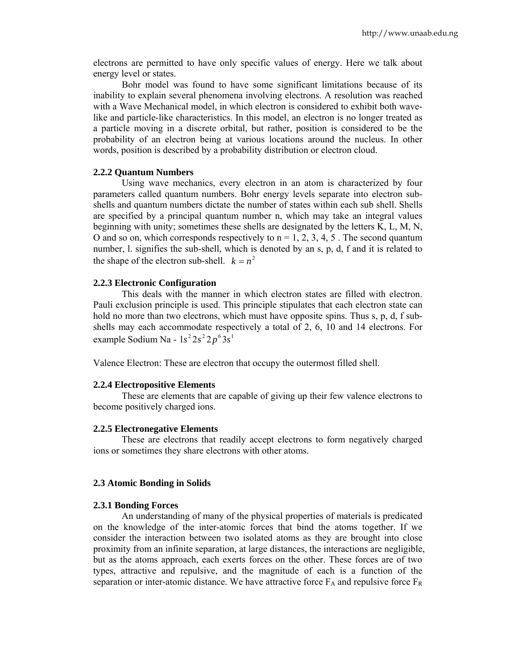electrons are permitted to have only specific values of energy. Here we talk about energy level or states.

 Bohr model was found to have some significant limitations because of its inability to explain several phenomena involving electrons. A resolution was reached with a Wave Mechanical model, in which electron is considered to exhibit both wavelike and particle-like characteristics. In this model, an electron is no longer treated as a particle moving in a discrete orbital, but rather, position is considered to be the probability of an electron being at various locations around the nucleus. In other words, position is described by a probability distribution or electron cloud.

# **2.2.2 Quantum Numbers**

 Using wave mechanics, every electron in an atom is characterized by four parameters called quantum numbers. Bohr energy levels separate into electron subshells and quantum numbers dictate the number of states within each sub shell. Shells are specified by a principal quantum number n, which may take an integral values beginning with unity; sometimes these shells are designated by the letters K, L, M, N, O and so on, which corresponds respectively to  $n = 1, 2, 3, 4, 5$ . The second quantum number, l. signifies the sub-shell, which is denoted by an s, p, d, f and it is related to the shape of the electron sub-shell.  $k = n^2$ 

# **2.2.3 Electronic Configuration**

 This deals with the manner in which electron states are filled with electron. Pauli exclusion principle is used. This principle stipulates that each electron state can hold no more than two electrons, which must have opposite spins. Thus s, p, d, f subshells may each accommodate respectively a total of 2, 6, 10 and 14 electrons. For example Sodium Na -  $1s^2 2s^2 2p^6 3s^1$ 

Valence Electron: These are electron that occupy the outermost filled shell.

#### **2.2.4 Electropositive Elements**

 These are elements that are capable of giving up their few valence electrons to become positively charged ions.

#### **2.2.5 Electronegative Elements**

 These are electrons that readily accept electrons to form negatively charged ions or sometimes they share electrons with other atoms.

# **2.3 Atomic Bonding in Solids**

# **2.3.1 Bonding Forces**

 An understanding of many of the physical properties of materials is predicated on the knowledge of the inter-atomic forces that bind the atoms together. If we consider the interaction between two isolated atoms as they are brought into close proximity from an infinite separation, at large distances, the interactions are negligible, but as the atoms approach, each exerts forces on the other. These forces are of two types, attractive and repulsive, and the magnitude of each is a function of the separation or inter-atomic distance. We have attractive force  $F_A$  and repulsive force  $F_R$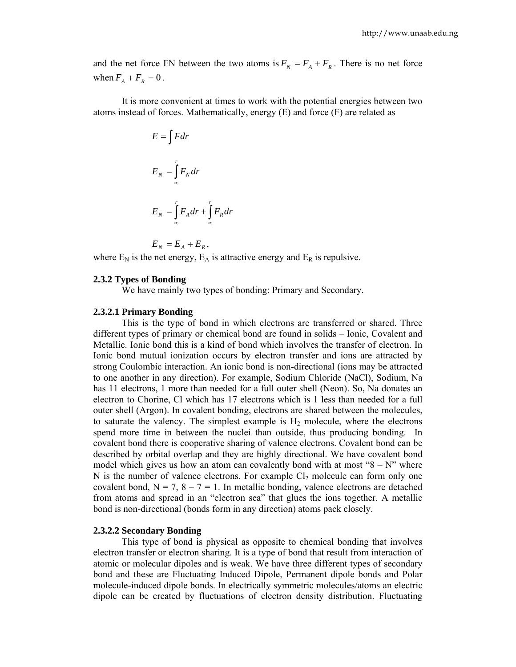and the net force FN between the two atoms is  $F_N = F_A + F_R$ . There is no net force when  $F_A + F_R = 0$ .

 It is more convenient at times to work with the potential energies between two atoms instead of forces. Mathematically, energy (E) and force (F) are related as

$$
E = \int F dr
$$
  

$$
E_N = \int_{-\infty}^{r} F_N dr
$$
  

$$
E_N = \int_{-\infty}^{r} F_A dr + \int_{-\infty}^{r} F_R dr
$$

$$
E_N = E_A + E_R,
$$

where  $E_N$  is the net energy,  $E_A$  is attractive energy and  $E_R$  is repulsive.

#### **2.3.2 Types of Bonding**

We have mainly two types of bonding: Primary and Secondary.

### **2.3.2.1 Primary Bonding**

 This is the type of bond in which electrons are transferred or shared. Three different types of primary or chemical bond are found in solids – Ionic, Covalent and Metallic. Ionic bond this is a kind of bond which involves the transfer of electron. In Ionic bond mutual ionization occurs by electron transfer and ions are attracted by strong Coulombic interaction. An ionic bond is non-directional (ions may be attracted to one another in any direction). For example, Sodium Chloride (NaCl), Sodium, Na has 11 electrons, 1 more than needed for a full outer shell (Neon). So, Na donates an electron to Chorine, Cl which has 17 electrons which is 1 less than needed for a full outer shell (Argon). In covalent bonding, electrons are shared between the molecules, to saturate the valency. The simplest example is  $H_2$  molecule, where the electrons spend more time in between the nuclei than outside, thus producing bonding. In covalent bond there is cooperative sharing of valence electrons. Covalent bond can be described by orbital overlap and they are highly directional. We have covalent bond model which gives us how an atom can covalently bond with at most " $8 - N$ " where N is the number of valence electrons. For example  $Cl_2$  molecule can form only one covalent bond,  $N = 7$ ,  $8 - 7 = 1$ . In metallic bonding, valence electrons are detached from atoms and spread in an "electron sea" that glues the ions together. A metallic bond is non-directional (bonds form in any direction) atoms pack closely.

#### **2.3.2.2 Secondary Bonding**

 This type of bond is physical as opposite to chemical bonding that involves electron transfer or electron sharing. It is a type of bond that result from interaction of atomic or molecular dipoles and is weak. We have three different types of secondary bond and these are Fluctuating Induced Dipole, Permanent dipole bonds and Polar molecule-induced dipole bonds. In electrically symmetric molecules/atoms an electric dipole can be created by fluctuations of electron density distribution. Fluctuating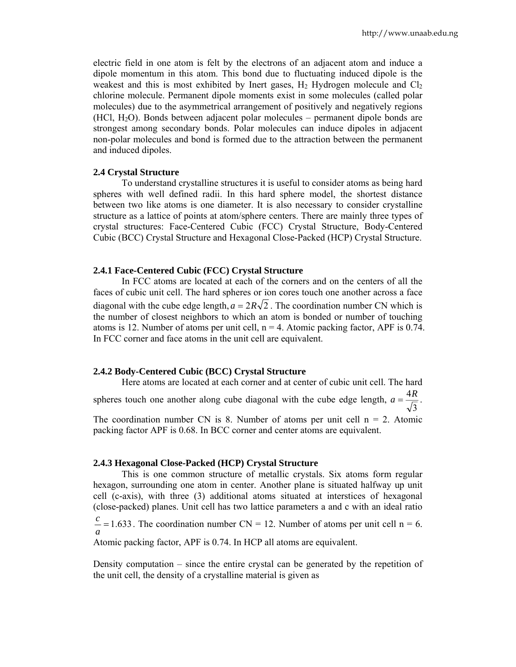electric field in one atom is felt by the electrons of an adjacent atom and induce a dipole momentum in this atom. This bond due to fluctuating induced dipole is the weakest and this is most exhibited by Inert gases,  $H_2$  Hydrogen molecule and  $Cl_2$ chlorine molecule. Permanent dipole moments exist in some molecules (called polar molecules) due to the asymmetrical arrangement of positively and negatively regions (HCl, H2O). Bonds between adjacent polar molecules – permanent dipole bonds are strongest among secondary bonds. Polar molecules can induce dipoles in adjacent non-polar molecules and bond is formed due to the attraction between the permanent and induced dipoles.

# **2.4 Crystal Structure**

 To understand crystalline structures it is useful to consider atoms as being hard spheres with well defined radii. In this hard sphere model, the shortest distance between two like atoms is one diameter. It is also necessary to consider crystalline structure as a lattice of points at atom/sphere centers. There are mainly three types of crystal structures: Face-Centered Cubic (FCC) Crystal Structure, Body-Centered Cubic (BCC) Crystal Structure and Hexagonal Close-Packed (HCP) Crystal Structure.

### **2.4.1 Face-Centered Cubic (FCC) Crystal Structure**

 In FCC atoms are located at each of the corners and on the centers of all the faces of cubic unit cell. The hard spheres or ion cores touch one another across a face diagonal with the cube edge length,  $a = 2R\sqrt{2}$ . The coordination number CN which is the number of closest neighbors to which an atom is bonded or number of touching atoms is 12. Number of atoms per unit cell,  $n = 4$ . Atomic packing factor, APF is 0.74. In FCC corner and face atoms in the unit cell are equivalent.

# **2.4.2 Body-Centered Cubic (BCC) Crystal Structure**

 Here atoms are located at each corner and at center of cubic unit cell. The hard spheres touch one another along cube diagonal with the cube edge length,  $a = \frac{4R}{\sqrt{3}}$ . The coordination number CN is 8. Number of atoms per unit cell  $n = 2$ . Atomic packing factor APF is 0.68. In BCC corner and center atoms are equivalent.

# **2.4.3 Hexagonal Close-Packed (HCP) Crystal Structure**

 This is one common structure of metallic crystals. Six atoms form regular hexagon, surrounding one atom in center. Another plane is situated halfway up unit cell (c-axis), with three (3) additional atoms situated at interstices of hexagonal (close-packed) planes. Unit cell has two lattice parameters a and c with an ideal ratio

 $= 1.633$ *a*  $\frac{c}{c}$  = 1.633. The coordination number CN = 12. Number of atoms per unit cell n = 6.

Atomic packing factor, APF is 0.74. In HCP all atoms are equivalent.

Density computation – since the entire crystal can be generated by the repetition of the unit cell, the density of a crystalline material is given as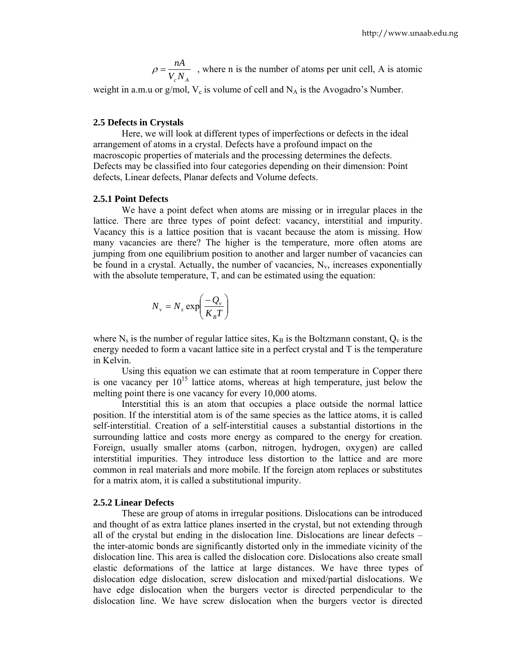$\rho = \frac{nA}{V_c N_A}$ , where n is the number of atoms per unit cell, A is atomic

weight in a.m.u or g/mol,  $V_c$  is volume of cell and  $N_A$  is the Avogadro's Number.

# **2.5 Defects in Crystals**

 Here, we will look at different types of imperfections or defects in the ideal arrangement of atoms in a crystal. Defects have a profound impact on the macroscopic properties of materials and the processing determines the defects. Defects may be classified into four categories depending on their dimension: Point defects, Linear defects, Planar defects and Volume defects.

# **2.5.1 Point Defects**

 We have a point defect when atoms are missing or in irregular places in the lattice. There are three types of point defect: vacancy, interstitial and impurity. Vacancy this is a lattice position that is vacant because the atom is missing. How many vacancies are there? The higher is the temperature, more often atoms are jumping from one equilibrium position to another and larger number of vacancies can be found in a crystal. Actually, the number of vacancies,  $N_v$ , increases exponentially with the absolute temperature, T, and can be estimated using the equation:

$$
N_{\nu} = N_{s} \exp\left(\frac{-Q_{\nu}}{K_{B}T}\right)
$$

where  $N_s$  is the number of regular lattice sites,  $K_B$  is the Boltzmann constant,  $Q_v$  is the energy needed to form a vacant lattice site in a perfect crystal and T is the temperature in Kelvin.

 Using this equation we can estimate that at room temperature in Copper there is one vacancy per  $10^{15}$  lattice atoms, whereas at high temperature, just below the melting point there is one vacancy for every 10,000 atoms.

 Interstitial this is an atom that occupies a place outside the normal lattice position. If the interstitial atom is of the same species as the lattice atoms, it is called self-interstitial. Creation of a self-interstitial causes a substantial distortions in the surrounding lattice and costs more energy as compared to the energy for creation. Foreign, usually smaller atoms (carbon, nitrogen, hydrogen, oxygen) are called interstitial impurities. They introduce less distortion to the lattice and are more common in real materials and more mobile. If the foreign atom replaces or substitutes for a matrix atom, it is called a substitutional impurity.

### **2.5.2 Linear Defects**

 These are group of atoms in irregular positions. Dislocations can be introduced and thought of as extra lattice planes inserted in the crystal, but not extending through all of the crystal but ending in the dislocation line. Dislocations are linear defects – the inter-atomic bonds are significantly distorted only in the immediate vicinity of the dislocation line. This area is called the dislocation core. Dislocations also create small elastic deformations of the lattice at large distances. We have three types of dislocation edge dislocation, screw dislocation and mixed/partial dislocations. We have edge dislocation when the burgers vector is directed perpendicular to the dislocation line. We have screw dislocation when the burgers vector is directed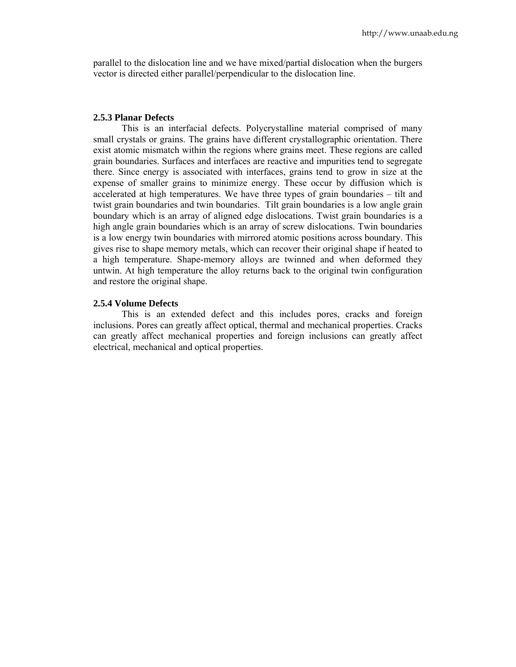parallel to the dislocation line and we have mixed/partial dislocation when the burgers vector is directed either parallel/perpendicular to the dislocation line.

#### **2.5.3 Planar Defects**

 This is an interfacial defects. Polycrystalline material comprised of many small crystals or grains. The grains have different crystallographic orientation. There exist atomic mismatch within the regions where grains meet. These regions are called grain boundaries. Surfaces and interfaces are reactive and impurities tend to segregate there. Since energy is associated with interfaces, grains tend to grow in size at the expense of smaller grains to minimize energy. These occur by diffusion which is accelerated at high temperatures. We have three types of grain boundaries – tilt and twist grain boundaries and twin boundaries. Tilt grain boundaries is a low angle grain boundary which is an array of aligned edge dislocations. Twist grain boundaries is a high angle grain boundaries which is an array of screw dislocations. Twin boundaries is a low energy twin boundaries with mirrored atomic positions across boundary. This gives rise to shape memory metals, which can recover their original shape if heated to a high temperature. Shape-memory alloys are twinned and when deformed they untwin. At high temperature the alloy returns back to the original twin configuration and restore the original shape.

# **2.5.4 Volume Defects**

 This is an extended defect and this includes pores, cracks and foreign inclusions. Pores can greatly affect optical, thermal and mechanical properties. Cracks can greatly affect mechanical properties and foreign inclusions can greatly affect electrical, mechanical and optical properties.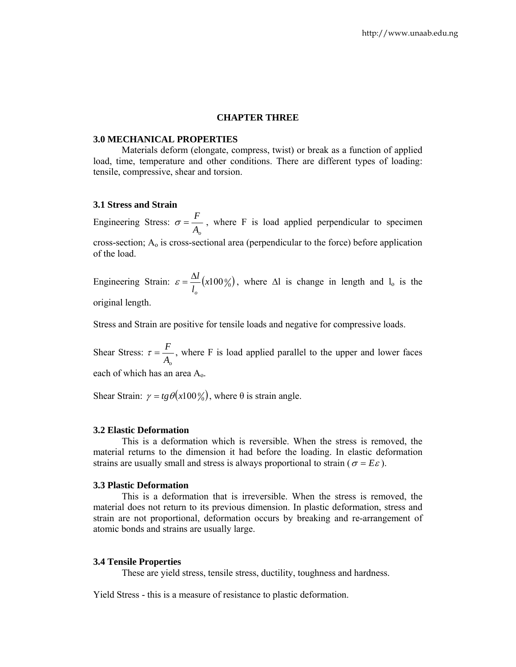# **CHAPTER THREE**

#### **3.0 MECHANICAL PROPERTIES**

 Materials deform (elongate, compress, twist) or break as a function of applied load, time, temperature and other conditions. There are different types of loading: tensile, compressive, shear and torsion.

# **3.1 Stress and Strain**

Engineering Stress:  $\sigma = \frac{F}{A_o}$ , where F is load applied perpendicular to specimen cross-section;  $A_0$  is cross-sectional area (perpendicular to the force) before application of the load.

Engineering Strain:  $\varepsilon = \frac{\Delta u}{l} (x 100\%)$ *l l o*  $\varepsilon = \frac{\Delta l}{I} (x 100\%)$ , where  $\Delta l$  is change in length and  $l_0$  is the original length.

Stress and Strain are positive for tensile loads and negative for compressive loads.

Shear Stress: *Ao*  $\tau = \frac{F}{\sqrt{2}}$ , where F is load applied parallel to the upper and lower faces each of which has an area Ao.

Shear Strain:  $\gamma = t g \theta(x 100\%)$ , where  $\theta$  is strain angle.

# **3.2 Elastic Deformation**

 This is a deformation which is reversible. When the stress is removed, the material returns to the dimension it had before the loading. In elastic deformation strains are usually small and stress is always proportional to strain ( $\sigma = E \varepsilon$ ).

#### **3.3 Plastic Deformation**

 This is a deformation that is irreversible. When the stress is removed, the material does not return to its previous dimension. In plastic deformation, stress and strain are not proportional, deformation occurs by breaking and re-arrangement of atomic bonds and strains are usually large.

#### **3.4 Tensile Properties**

These are yield stress, tensile stress, ductility, toughness and hardness.

Yield Stress - this is a measure of resistance to plastic deformation.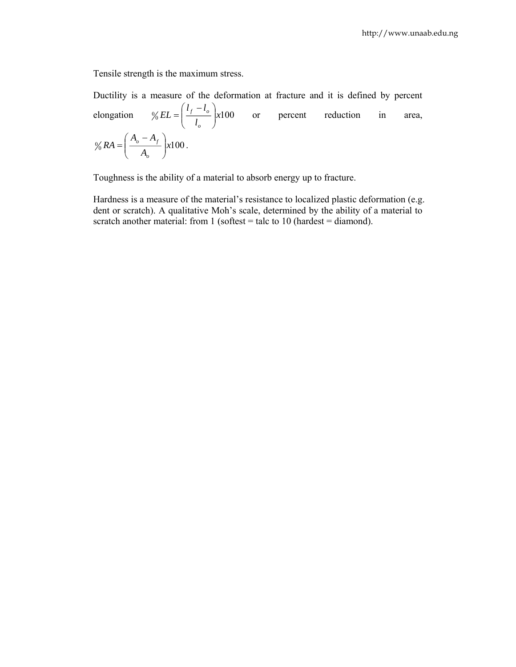Tensile strength is the maximum stress.

Ductility is a measure of the deformation at fracture and it is defined by percent elongation  $\% EL = \left(\frac{f}{l_o}\right) \times 100$  $l_f - l$ *EL o*  $\left| \frac{t_o}{l} \right|$ ⎠ ⎞  $\overline{\phantom{a}}$ ⎝  $=\left(\frac{l_f - l_o}{l}\right)$  x100 or percent reduction in area,  $\% RA = \left( \frac{a_{o} + b_{f}}{A_{o}} \right) \times 100$  $A_{\scriptscriptstyle\alpha} - A$ *RA o*  $\frac{\sigma}{A}$ ⎠ ⎞  $\parallel$ ⎝  $=\left(\frac{A_o - A_f}{\mu}\right) x 100$ .

Toughness is the ability of a material to absorb energy up to fracture.

Hardness is a measure of the material's resistance to localized plastic deformation (e.g. dent or scratch). A qualitative Moh's scale, determined by the ability of a material to scratch another material: from 1 (softest = talc to 10 (hardest = diamond).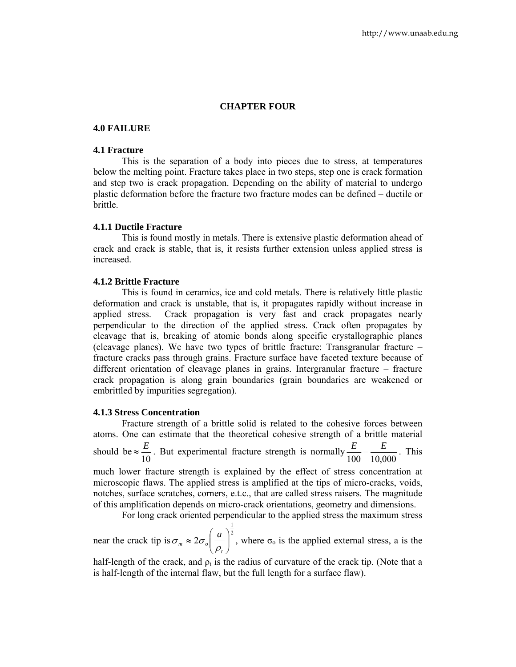# **CHAPTER FOUR**

# **4.0 FAILURE**

# **4.1 Fracture**

 This is the separation of a body into pieces due to stress, at temperatures below the melting point. Fracture takes place in two steps, step one is crack formation and step two is crack propagation. Depending on the ability of material to undergo plastic deformation before the fracture two fracture modes can be defined – ductile or brittle.

# **4.1.1 Ductile Fracture**

 This is found mostly in metals. There is extensive plastic deformation ahead of crack and crack is stable, that is, it resists further extension unless applied stress is increased.

#### **4.1.2 Brittle Fracture**

 This is found in ceramics, ice and cold metals. There is relatively little plastic deformation and crack is unstable, that is, it propagates rapidly without increase in applied stress. Crack propagation is very fast and crack propagates nearly perpendicular to the direction of the applied stress. Crack often propagates by cleavage that is, breaking of atomic bonds along specific crystallographic planes (cleavage planes). We have two types of brittle fracture: Transgranular fracture – fracture cracks pass through grains. Fracture surface have faceted texture because of different orientation of cleavage planes in grains. Intergranular fracture – fracture crack propagation is along grain boundaries (grain boundaries are weakened or embrittled by impurities segregation).

# **4.1.3 Stress Concentration**

 Fracture strength of a brittle solid is related to the cohesive forces between atoms. One can estimate that the theoretical cohesive strength of a brittle material should be  $\approx \frac{E}{10}$ . But experimental fracture strength is normally  $\frac{E}{100} - \frac{E}{10,000}$ . This much lower fracture strength is explained by the effect of stress concentration at microscopic flaws. The applied stress is amplified at the tips of micro-cracks, voids, notches, surface scratches, corners, e.t.c., that are called stress raisers. The magnitude of this amplification depends on micro-crack orientations, geometry and dimensions.

For long crack oriented perpendicular to the applied stress the maximum stress

near the crack tip is  $\sigma_m \approx 2\sigma_o \left(\frac{a}{m}\right)^2$ 1  $\left| \frac{a}{a} \right|$ ⎠ ⎞  $\parallel$ ⎝  $\approx 2\sigma$ *t*  $_m \sim \omega_o$ *a* ρ  $\sigma_m \approx 2\sigma_o |\frac{u}{m}|$ , where  $\sigma_o$  is the applied external stress, a is the

half-length of the crack, and  $\rho_t$  is the radius of curvature of the crack tip. (Note that a is half-length of the internal flaw, but the full length for a surface flaw).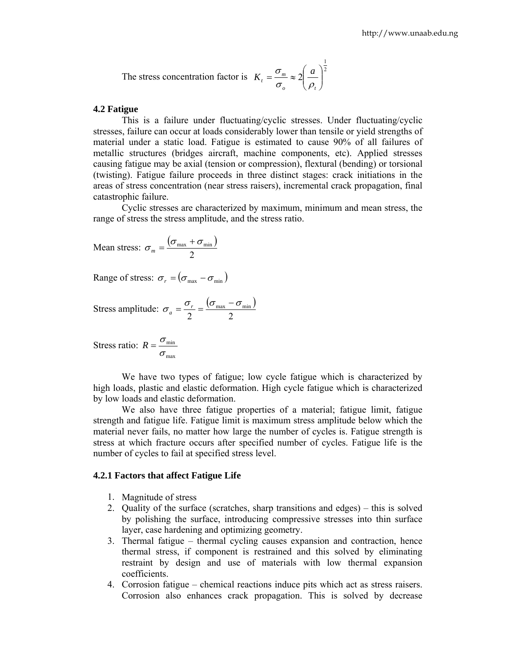The stress concentration factor is 
$$
K_t = \frac{\sigma_m}{\sigma_o} \approx 2 \left(\frac{a}{\rho_t}\right)^{\frac{1}{2}}
$$

# **4.2 Fatigue**

 This is a failure under fluctuating/cyclic stresses. Under fluctuating/cyclic stresses, failure can occur at loads considerably lower than tensile or yield strengths of material under a static load. Fatigue is estimated to cause 90% of all failures of metallic structures (bridges aircraft, machine components, etc). Applied stresses causing fatigue may be axial (tension or compression), flextural (bending) or torsional (twisting). Fatigue failure proceeds in three distinct stages: crack initiations in the areas of stress concentration (near stress raisers), incremental crack propagation, final catastrophic failure.

 Cyclic stresses are characterized by maximum, minimum and mean stress, the range of stress the stress amplitude, and the stress ratio.

Mean stress: 
$$
\sigma_m = \frac{(\sigma_{\text{max}} + \sigma_{\text{min}})}{2}
$$

Range of stress:  $\sigma_r = (\sigma_{\text{max}} - \sigma_{\text{min}})$ 

Stress amplitude:  $\sigma_a = \frac{\sigma_r}{\sigma} = \frac{(\sigma_{\text{max}} - \sigma_{\text{min}})}{\sigma}$ 2 2  $\sigma_a = \frac{\sigma_r}{2} = \frac{(\sigma_{\text{max}} - \sigma_{\text{min}})}{2}$ 

Stress ratio: max min  $R = \frac{\sigma}{\sigma}$ 

 We have two types of fatigue; low cycle fatigue which is characterized by high loads, plastic and elastic deformation. High cycle fatigue which is characterized by low loads and elastic deformation.

 We also have three fatigue properties of a material; fatigue limit, fatigue strength and fatigue life. Fatigue limit is maximum stress amplitude below which the material never fails, no matter how large the number of cycles is. Fatigue strength is stress at which fracture occurs after specified number of cycles. Fatigue life is the number of cycles to fail at specified stress level.

#### **4.2.1 Factors that affect Fatigue Life**

- 1. Magnitude of stress
- 2. Quality of the surface (scratches, sharp transitions and edges) this is solved by polishing the surface, introducing compressive stresses into thin surface layer, case hardening and optimizing geometry.
- 3. Thermal fatigue thermal cycling causes expansion and contraction, hence thermal stress, if component is restrained and this solved by eliminating restraint by design and use of materials with low thermal expansion coefficients.
- 4. Corrosion fatigue chemical reactions induce pits which act as stress raisers. Corrosion also enhances crack propagation. This is solved by decrease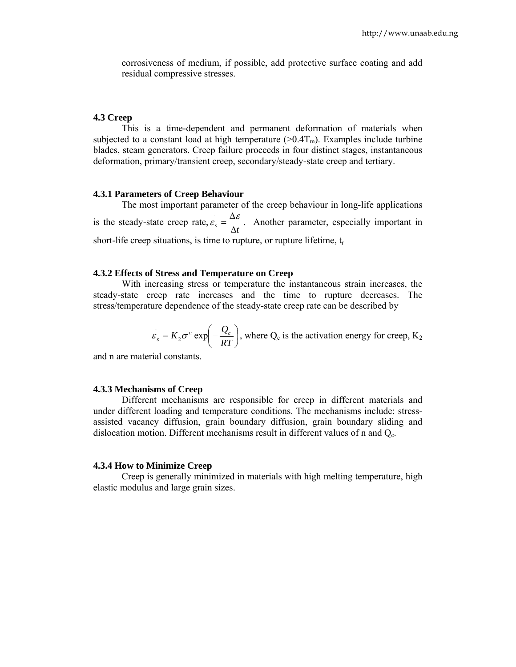corrosiveness of medium, if possible, add protective surface coating and add residual compressive stresses.

# **4.3 Creep**

 This is a time-dependent and permanent deformation of materials when subjected to a constant load at high temperature  $(>0.4T<sub>m</sub>)$ . Examples include turbine blades, steam generators. Creep failure proceeds in four distinct stages, instantaneous deformation, primary/transient creep, secondary/steady-state creep and tertiary.

# **4.3.1 Parameters of Creep Behaviour**

 The most important parameter of the creep behaviour in long-life applications is the steady-state creep rate,  $\varepsilon_s = \frac{\Delta \varepsilon}{\Delta t}$  $\varepsilon_{\rm s} = \frac{\Delta \varepsilon}{\Delta}$  $\mathcal{L}_{s} = \frac{\Delta \varepsilon}{\Delta t}$ . Another parameter, especially important in short-life creep situations, is time to rupture, or rupture lifetime,  $t_r$ 

# **4.3.2 Effects of Stress and Temperature on Creep**

 With increasing stress or temperature the instantaneous strain increases, the steady-state creep rate increases and the time to rupture decreases. The stress/temperature dependence of the steady-state creep rate can be described by

$$
\varepsilon_s = K_2 \sigma^n \exp\left(-\frac{Q_c}{RT}\right)
$$
, where Q<sub>c</sub> is the activation energy for creep, K<sub>2</sub>

and n are material constants.

# **4.3.3 Mechanisms of Creep**

 Different mechanisms are responsible for creep in different materials and under different loading and temperature conditions. The mechanisms include: stressassisted vacancy diffusion, grain boundary diffusion, grain boundary sliding and dislocation motion. Different mechanisms result in different values of n and  $Q_c$ .

#### **4.3.4 How to Minimize Creep**

 Creep is generally minimized in materials with high melting temperature, high elastic modulus and large grain sizes.